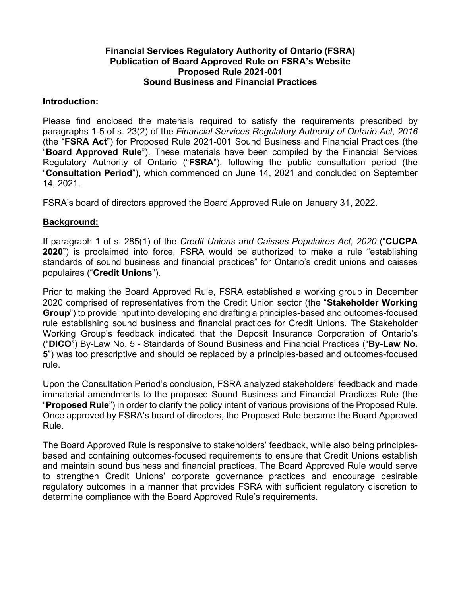# **Financial Services Regulatory Authority of Ontario (FSRA) Publication of Board Approved Rule on FSRA's Website Proposed Rule 2021-001 Sound Business and Financial Practices**

## **Introduction:**

Please find enclosed the materials required to satisfy the requirements prescribed by paragraphs 1-5 of s. 23(2) of the *Financial Services Regulatory Authority of Ontario Act, 2016* (the "**FSRA Act**") for Proposed Rule 2021-001 Sound Business and Financial Practices (the "**Board Approved Rule**"). These materials have been compiled by the Financial Services Regulatory Authority of Ontario ("**FSRA**"), following the public consultation period (the "**Consultation Period**"), which commenced on June 14, 2021 and concluded on September 14, 2021.

FSRA's board of directors approved the Board Approved Rule on January 31, 2022.

# **Background:**

If paragraph 1 of s. 285(1) of the *Credit Unions and Caisses Populaires Act, 2020* ("**CUCPA 2020**") is proclaimed into force, FSRA would be authorized to make a rule "establishing standards of sound business and financial practices" for Ontario's credit unions and caisses populaires ("**Credit Unions**").

Prior to making the Board Approved Rule, FSRA established a working group in December 2020 comprised of representatives from the Credit Union sector (the "**Stakeholder Working Group**") to provide input into developing and drafting a principles-based and outcomes-focused rule establishing sound business and financial practices for Credit Unions. The Stakeholder Working Group's feedback indicated that the Deposit Insurance Corporation of Ontario's ("**DICO**") By-Law No. 5 - Standards of Sound Business and Financial Practices ("**By-Law No. 5**") was too prescriptive and should be replaced by a principles-based and outcomes-focused rule.

Upon the Consultation Period's conclusion, FSRA analyzed stakeholders' feedback and made immaterial amendments to the proposed Sound Business and Financial Practices Rule (the "**Proposed Rule**") in order to clarify the policy intent of various provisions of the Proposed Rule. Once approved by FSRA's board of directors, the Proposed Rule became the Board Approved Rule.

The Board Approved Rule is responsive to stakeholders' feedback, while also being principlesbased and containing outcomes-focused requirements to ensure that Credit Unions establish and maintain sound business and financial practices. The Board Approved Rule would serve to strengthen Credit Unions' corporate governance practices and encourage desirable regulatory outcomes in a manner that provides FSRA with sufficient regulatory discretion to determine compliance with the Board Approved Rule's requirements.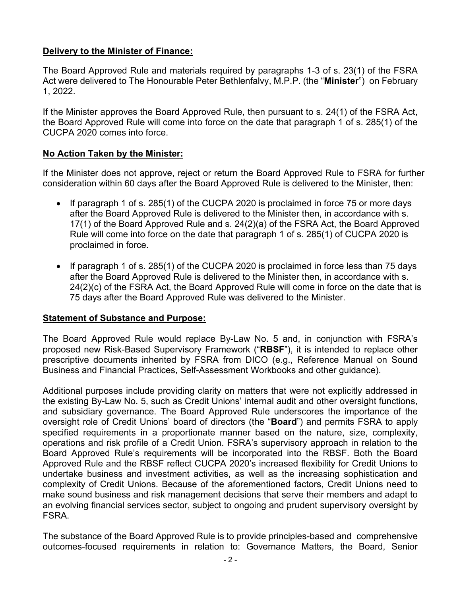# **Delivery to the Minister of Finance:**

The Board Approved Rule and materials required by paragraphs 1-3 of s. 23(1) of the FSRA Act were delivered to The Honourable Peter Bethlenfalvy, M.P.P. (the "**Minister**") on February 1, 2022.

If the Minister approves the Board Approved Rule, then pursuant to s. 24(1) of the FSRA Act, the Board Approved Rule will come into force on the date that paragraph 1 of s. 285(1) of the CUCPA 2020 comes into force.

# **No Action Taken by the Minister:**

If the Minister does not approve, reject or return the Board Approved Rule to FSRA for further consideration within 60 days after the Board Approved Rule is delivered to the Minister, then:

- If paragraph 1 of s. 285(1) of the CUCPA 2020 is proclaimed in force 75 or more days after the Board Approved Rule is delivered to the Minister then, in accordance with s. 17(1) of the Board Approved Rule and s. 24(2)(a) of the FSRA Act, the Board Approved Rule will come into force on the date that paragraph 1 of s. 285(1) of CUCPA 2020 is proclaimed in force.
- If paragraph 1 of s. 285(1) of the CUCPA 2020 is proclaimed in force less than 75 days after the Board Approved Rule is delivered to the Minister then, in accordance with s. 24(2)(c) of the FSRA Act, the Board Approved Rule will come in force on the date that is 75 days after the Board Approved Rule was delivered to the Minister.

# **Statement of Substance and Purpose:**

The Board Approved Rule would replace By-Law No. 5 and, in conjunction with FSRA's proposed new Risk-Based Supervisory Framework ("**RBSF**"), it is intended to replace other prescriptive documents inherited by FSRA from DICO (e.g., Reference Manual on Sound Business and Financial Practices, Self-Assessment Workbooks and other guidance).

Additional purposes include providing clarity on matters that were not explicitly addressed in the existing By-Law No. 5, such as Credit Unions' internal audit and other oversight functions, and subsidiary governance. The Board Approved Rule underscores the importance of the oversight role of Credit Unions' board of directors (the "**Board**") and permits FSRA to apply specified requirements in a proportionate manner based on the nature, size, complexity, operations and risk profile of a Credit Union. FSRA's supervisory approach in relation to the Board Approved Rule's requirements will be incorporated into the RBSF. Both the Board Approved Rule and the RBSF reflect CUCPA 2020's increased flexibility for Credit Unions to undertake business and investment activities, as well as the increasing sophistication and complexity of Credit Unions. Because of the aforementioned factors, Credit Unions need to make sound business and risk management decisions that serve their members and adapt to an evolving financial services sector, subject to ongoing and prudent supervisory oversight by FSRA.

The substance of the Board Approved Rule is to provide principles-based and comprehensive outcomes-focused requirements in relation to: Governance Matters, the Board, Senior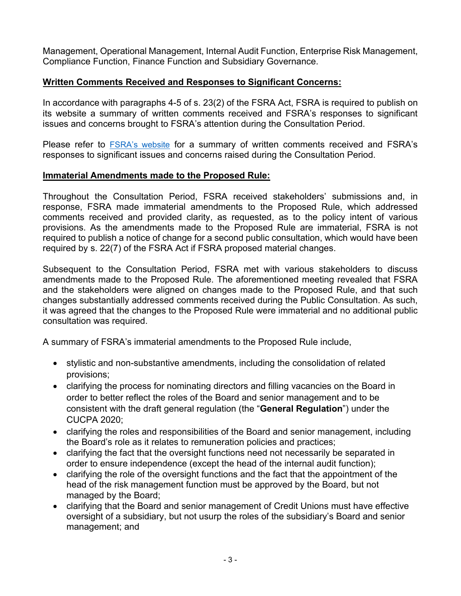Management, Operational Management, Internal Audit Function, Enterprise Risk Management, Compliance Function, Finance Function and Subsidiary Governance.

# **Written Comments Received and Responses to Significant Concerns:**

In accordance with paragraphs 4-5 of s. 23(2) of the FSRA Act, FSRA is required to publish on its website a summary of written comments received and FSRA's responses to significant issues and concerns brought to FSRA's attention during the Consultation Period.

Please refer to **[FSRA's website](https://www.fsrao.ca/board-approved-draft-sound-business-and-financial-practices-rule-summary-stakeholders-feedback-and-fsras-responses)** for a summary of written comments received and FSRA's responses to significant issues and concerns raised during the Consultation Period.

# **Immaterial Amendments made to the Proposed Rule:**

Throughout the Consultation Period, FSRA received stakeholders' submissions and, in response, FSRA made immaterial amendments to the Proposed Rule, which addressed comments received and provided clarity, as requested, as to the policy intent of various provisions. As the amendments made to the Proposed Rule are immaterial, FSRA is not required to publish a notice of change for a second public consultation, which would have been required by s. 22(7) of the FSRA Act if FSRA proposed material changes.

Subsequent to the Consultation Period, FSRA met with various stakeholders to discuss amendments made to the Proposed Rule. The aforementioned meeting revealed that FSRA and the stakeholders were aligned on changes made to the Proposed Rule, and that such changes substantially addressed comments received during the Public Consultation. As such, it was agreed that the changes to the Proposed Rule were immaterial and no additional public consultation was required.

A summary of FSRA's immaterial amendments to the Proposed Rule include,

- stylistic and non-substantive amendments, including the consolidation of related provisions;
- clarifying the process for nominating directors and filling vacancies on the Board in order to better reflect the roles of the Board and senior management and to be consistent with the draft general regulation (the "**General Regulation**") under the CUCPA 2020;
- clarifying the roles and responsibilities of the Board and senior management, including the Board's role as it relates to remuneration policies and practices;
- clarifying the fact that the oversight functions need not necessarily be separated in order to ensure independence (except the head of the internal audit function);
- clarifying the role of the oversight functions and the fact that the appointment of the head of the risk management function must be approved by the Board, but not managed by the Board;
- clarifying that the Board and senior management of Credit Unions must have effective oversight of a subsidiary, but not usurp the roles of the subsidiary's Board and senior management; and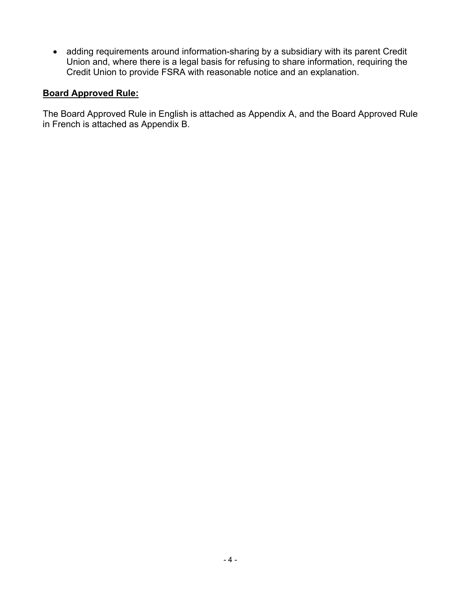• adding requirements around information-sharing by a subsidiary with its parent Credit Union and, where there is a legal basis for refusing to share information, requiring the Credit Union to provide FSRA with reasonable notice and an explanation.

# **Board Approved Rule:**

The Board Approved Rule in English is attached as Appendix A, and the Board Approved Rule in French is attached as Appendix B.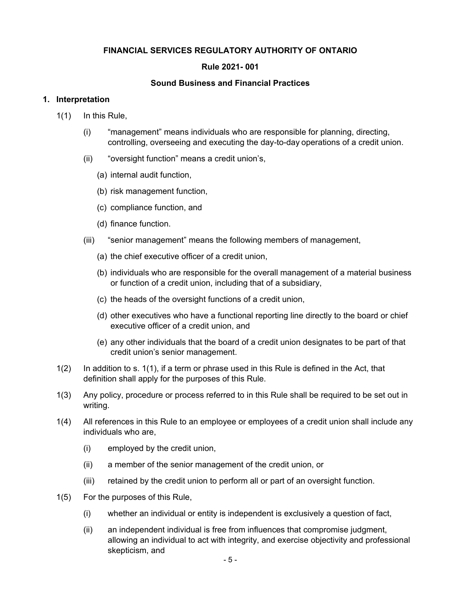## **FINANCIAL SERVICES REGULATORY AUTHORITY OF ONTARIO**

### **Rule 2021- 001**

#### **Sound Business and Financial Practices**

#### <span id="page-4-0"></span>**1. Interpretation**

- 1(1) In this Rule,
	- (i) "management" means individuals who are responsible for planning, directing, controlling, overseeing and executing the day-to-day operations of a credit union.
	- (ii) "oversight function" means a credit union's,
		- (a) internal audit function,
		- (b) risk management function,
		- (c) compliance function, and
		- (d) finance function.
	- (iii) "senior management" means the following members of management,
		- (a) the chief executive officer of a credit union,
		- (b) individuals who are responsible for the overall management of a material business or function of a credit union, including that of a subsidiary,
		- (c) the heads of the oversight functions of a credit union,
		- (d) other executives who have a functional reporting line directly to the board or chief executive officer of a credit union, and
		- (e) any other individuals that the board of a credit union designates to be part of that credit union's senior management.
- 1(2) In addition to s. 1(1), if a term or phrase used in this Rule is defined in the Act, that definition shall apply for the purposes of this Rule.
- 1(3) Any policy, procedure or process referred to in this Rule shall be required to be set out in writing.
- 1(4) All references in this Rule to an employee or employees of a credit union shall include any individuals who are,
	- (i) employed by the credit union,
	- (ii) a member of the senior management of the credit union, or
	- (iii) retained by the credit union to perform all or part of an oversight function.
- 1(5) For the purposes of this Rule,
	- (i) whether an individual or entity is independent is exclusively a question of fact,
	- (ii) an independent individual is free from influences that compromise judgment, allowing an individual to act with integrity, and exercise objectivity and professional skepticism, and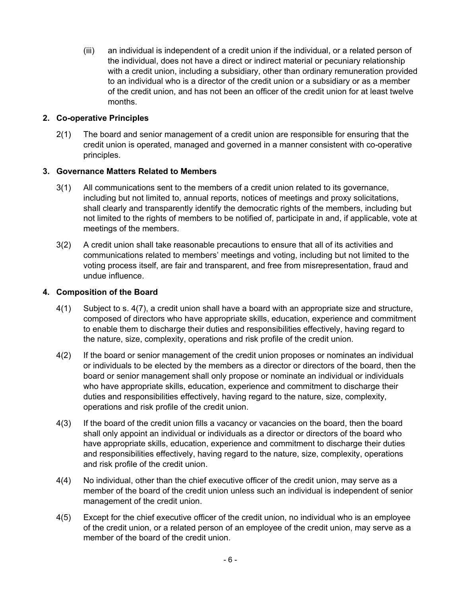<span id="page-5-0"></span>(iii) an individual is independent of a credit union if the individual, or a related person of the individual, does not have a direct or indirect material or pecuniary relationship with a credit union, including a subsidiary, other than ordinary remuneration provided to an individual who is a director of the credit union or a subsidiary or as a member of the credit union, and has not been an officer of the credit union for at least twelve months.

## **2. Co-operative Principles**

2(1) The board and senior management of a credit union are responsible for ensuring that the credit union is operated, managed and governed in a manner consistent with co-operative principles.

### **3. Governance Matters Related to Members**

- 3(1) All communications sent to the members of a credit union related to its governance, including but not limited to, annual reports, notices of meetings and proxy solicitations, shall clearly and transparently identify the democratic rights of the members, including but not limited to the rights of members to be notified of, participate in and, if applicable, vote at meetings of the members.
- 3(2) A credit union shall take reasonable precautions to ensure that all of its activities and communications related to members' meetings and voting, including but not limited to the voting process itself, are fair and transparent, and free from misrepresentation, fraud and undue influence.

## **4. Composition of the Board**

- 4(1) Subject to s. [4\(7\),](#page-6-0) a credit union shall have a board with an appropriate size and structure, composed of directors who have appropriate skills, education, experience and commitment to enable them to discharge their duties and responsibilities effectively, having regard to the nature, size, complexity, operations and risk profile of the credit union.
- 4(2) If the board or senior management of the credit union proposes or nominates an individual or individuals to be elected by the members as a director or directors of the board, then the board or senior management shall only propose or nominate an individual or individuals who have appropriate skills, education, experience and commitment to discharge their duties and responsibilities effectively, having regard to the nature, size, complexity, operations and risk profile of the credit union.
- 4(3) If the board of the credit union fills a vacancy or vacancies on the board, then the board shall only appoint an individual or individuals as a director or directors of the board who have appropriate skills, education, experience and commitment to discharge their duties and responsibilities effectively, having regard to the nature, size, complexity, operations and risk profile of the credit union.
- 4(4) No individual, other than the chief executive officer of the credit union, may serve as a member of the board of the credit union unless such an individual is independent of senior management of the credit union.
- 4(5) Except for the chief executive officer of the credit union, no individual who is an employee of the credit union, or a related person of an employee of the credit union, may serve as a member of the board of the credit union.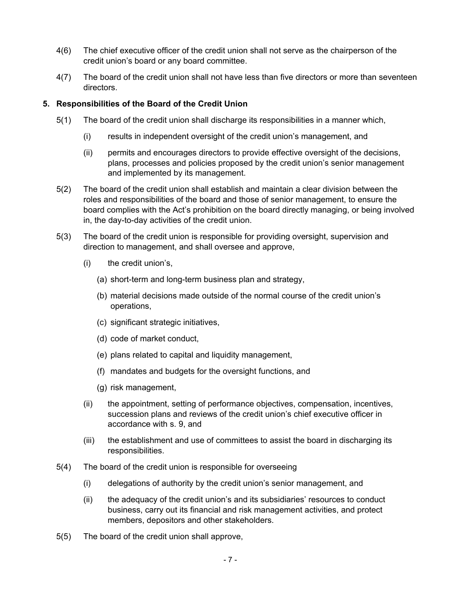- <span id="page-6-0"></span>4(6) The chief executive officer of the credit union shall not serve as the chairperson of the credit union's board or any board committee.
- 4(7) The board of the credit union shall not have less than five directors or more than seventeen directors.

## **5. Responsibilities of the Board of the Credit Union**

- 5(1) The board of the credit union shall discharge its responsibilities in a manner which,
	- (i) results in independent oversight of the credit union's management, and
	- (ii) permits and encourages directors to provide effective oversight of the decisions, plans, processes and policies proposed by the credit union's senior management and implemented by its management.
- 5(2) The board of the credit union shall establish and maintain a clear division between the roles and responsibilities of the board and those of senior management, to ensure the board complies with the Act's prohibition on the board directly managing, or being involved in, the day-to-day activities of the credit union.
- 5(3) The board of the credit union is responsible for providing oversight, supervision and direction to management, and shall oversee and approve,
	- (i) the credit union's,
		- (a) short-term and long-term business plan and strategy,
		- (b) material decisions made outside of the normal course of the credit union's operations,
		- (c) significant strategic initiatives,
		- (d) code of market conduct,
		- (e) plans related to capital and liquidity management,
		- (f) mandates and budgets for the oversight functions, and
		- (g) risk management,
	- (ii) the appointment, setting of performance objectives, compensation, incentives, succession plans and reviews of the credit union's chief executive officer in accordance with s. [9](#page-8-0), and
	- (iii) the establishment and use of committees to assist the board in discharging its responsibilities.
- 5(4) The board of the credit union is responsible for overseeing
	- (i) delegations of authority by the credit union's senior management, and
	- (ii) the adequacy of the credit union's and its subsidiaries' resources to conduct business, carry out its financial and risk management activities, and protect members, depositors and other stakeholders.
- 5(5) The board of the credit union shall approve,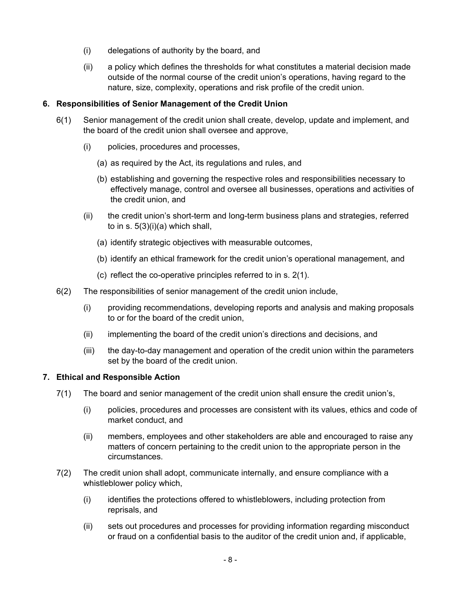- (i) delegations of authority by the board, and
- (ii) a policy which defines the thresholds for what constitutes a material decision made outside of the normal course of the credit union's operations, having regard to the nature, size, complexity, operations and risk profile of the credit union.

## **6. Responsibilities of Senior Management of the Credit Union**

- 6(1) Senior management of the credit union shall create, develop, update and implement, and the board of the credit union shall oversee and approve,
	- (i) policies, procedures and processes,
		- (a) as required by the Act, its regulations and rules, and
		- (b) establishing and governing the respective roles and responsibilities necessary to effectively manage, control and oversee all businesses, operations and activities of the credit union, and
	- (ii) the credit union's short-term and long-term business plans and strategies, referred to in s.  $5(3)(i)(a)$  which shall,
		- (a) identify strategic objectives with measurable outcomes,
		- (b) identify an ethical framework for the credit union's operational management, and
		- (c) reflect the co-operative principles referred to in s. [2\(1\).](#page-5-0)
- 6(2) The responsibilities of senior management of the credit union include,
	- (i) providing recommendations, developing reports and analysis and making proposals to or for the board of the credit union,
	- (ii) implementing the board of the credit union's directions and decisions, and
	- (iii) the day-to-day management and operation of the credit union within the parameters set by the board of the credit union.

### **7. Ethical and Responsible Action**

- 7(1) The board and senior management of the credit union shall ensure the credit union's,
	- (i) policies, procedures and processes are consistent with its values, ethics and code of market conduct, and
	- (ii) members, employees and other stakeholders are able and encouraged to raise any matters of concern pertaining to the credit union to the appropriate person in the circumstances.
- 7(2) The credit union shall adopt, communicate internally, and ensure compliance with a whistleblower policy which,
	- (i) identifies the protections offered to whistleblowers, including protection from reprisals, and
	- (ii) sets out procedures and processes for providing information regarding misconduct or fraud on a confidential basis to the auditor of the credit union and, if applicable,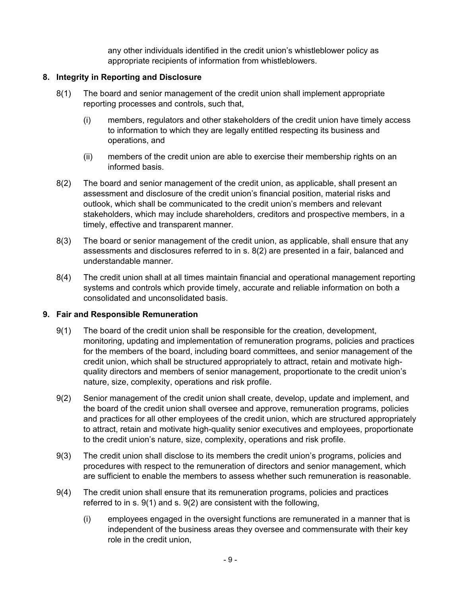any other individuals identified in the credit union's whistleblower policy as appropriate recipients of information from whistleblowers.

## <span id="page-8-0"></span>**8. Integrity in Reporting and Disclosure**

- 8(1) The board and senior management of the credit union shall implement appropriate reporting processes and controls, such that,
	- (i) members, regulators and other stakeholders of the credit union have timely access to information to which they are legally entitled respecting its business and operations, and
	- (ii) members of the credit union are able to exercise their membership rights on an informed basis.
- 8(2) The board and senior management of the credit union, as applicable, shall present an assessment and disclosure of the credit union's financial position, material risks and outlook, which shall be communicated to the credit union's members and relevant stakeholders, which may include shareholders, creditors and prospective members, in a timely, effective and transparent manner.
- 8(3) The board or senior management of the credit union, as applicable, shall ensure that any assessments and disclosures referred to in s. 8(2) are presented in a fair, balanced and understandable manner.
- 8(4) The credit union shall at all times maintain financial and operational management reporting systems and controls which provide timely, accurate and reliable information on both a consolidated and unconsolidated basis.

# **9. Fair and Responsible Remuneration**

- 9(1) The board of the credit union shall be responsible for the creation, development, monitoring, updating and implementation of remuneration programs, policies and practices for the members of the board, including board committees, and senior management of the credit union, which shall be structured appropriately to attract, retain and motivate highquality directors and members of senior management, proportionate to the credit union's nature, size, complexity, operations and risk profile.
- 9(2) Senior management of the credit union shall create, develop, update and implement, and the board of the credit union shall oversee and approve, remuneration programs, policies and practices for all other employees of the credit union, which are structured appropriately to attract, retain and motivate high-quality senior executives and employees, proportionate to the credit union's nature, size, complexity, operations and risk profile.
- 9(3) The credit union shall disclose to its members the credit union's programs, policies and procedures with respect to the remuneration of directors and senior management, which are sufficient to enable the members to assess whether such remuneration is reasonable.
- 9(4) The credit union shall ensure that its remuneration programs, policies and practices referred to in s. 9(1) and s. 9(2) are consistent with the following,
	- (i) employees engaged in the oversight functions are remunerated in a manner that is independent of the business areas they oversee and commensurate with their key role in the credit union,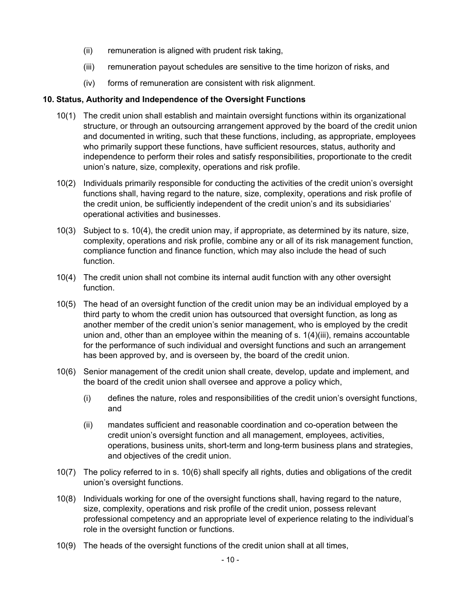- (ii) remuneration is aligned with prudent risk taking,
- (iii) remuneration payout schedules are sensitive to the time horizon of risks, and
- (iv) forms of remuneration are consistent with risk alignment.

#### **10. Status, Authority and Independence of the Oversight Functions**

- 10(1) The credit union shall establish and maintain oversight functions within its organizational structure, or through an outsourcing arrangement approved by the board of the credit union and documented in writing, such that these functions, including, as appropriate, employees who primarily support these functions, have sufficient resources, status, authority and independence to perform their roles and satisfy responsibilities, proportionate to the credit union's nature, size, complexity, operations and risk profile.
- 10(2) Individuals primarily responsible for conducting the activities of the credit union's oversight functions shall, having regard to the nature, size, complexity, operations and risk profile of the credit union, be sufficiently independent of the credit union's and its subsidiaries' operational activities and businesses.
- 10(3) Subject to s. 10(4), the credit union may, if appropriate, as determined by its nature, size, complexity, operations and risk profile, combine any or all of its risk management function, compliance function and finance function, which may also include the head of such function.
- 10(4) The credit union shall not combine its internal audit function with any other oversight function.
- 10(5) The head of an oversight function of the credit union may be an individual employed by a third party to whom the credit union has outsourced that oversight function, as long as another member of the credit union's senior management, who is employed by the credit union and, other than an employee within the meaning of s. [1\(4\)\(iii\),](#page-4-0) remains accountable for the performance of such individual and oversight functions and such an arrangement has been approved by, and is overseen by, the board of the credit union.
- 10(6) Senior management of the credit union shall create, develop, update and implement, and the board of the credit union shall oversee and approve a policy which,
	- (i) defines the nature, roles and responsibilities of the credit union's oversight functions, and
	- (ii) mandates sufficient and reasonable coordination and co-operation between the credit union's oversight function and all management, employees, activities, operations, business units, short-term and long-term business plans and strategies, and objectives of the credit union.
- 10(7) The policy referred to in s. 10(6) shall specify all rights, duties and obligations of the credit union's oversight functions.
- 10(8) Individuals working for one of the oversight functions shall, having regard to the nature, size, complexity, operations and risk profile of the credit union, possess relevant professional competency and an appropriate level of experience relating to the individual's role in the oversight function or functions.
- 10(9) The heads of the oversight functions of the credit union shall at all times,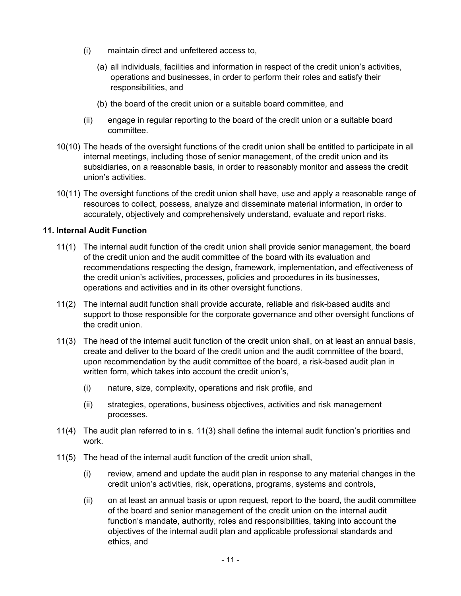- (i) maintain direct and unfettered access to,
	- (a) all individuals, facilities and information in respect of the credit union's activities, operations and businesses, in order to perform their roles and satisfy their responsibilities, and
	- (b) the board of the credit union or a suitable board committee, and
- (ii) engage in regular reporting to the board of the credit union or a suitable board committee.
- 10(10) The heads of the oversight functions of the credit union shall be entitled to participate in all internal meetings, including those of senior management, of the credit union and its subsidiaries, on a reasonable basis, in order to reasonably monitor and assess the credit union's activities.
- 10(11) The oversight functions of the credit union shall have, use and apply a reasonable range of resources to collect, possess, analyze and disseminate material information, in order to accurately, objectively and comprehensively understand, evaluate and report risks.

## **11. Internal Audit Function**

- 11(1) The internal audit function of the credit union shall provide senior management, the board of the credit union and the audit committee of the board with its evaluation and recommendations respecting the design, framework, implementation, and effectiveness of the credit union's activities, processes, policies and procedures in its businesses, operations and activities and in its other oversight functions.
- 11(2) The internal audit function shall provide accurate, reliable and risk-based audits and support to those responsible for the corporate governance and other oversight functions of the credit union.
- 11(3) The head of the internal audit function of the credit union shall, on at least an annual basis, create and deliver to the board of the credit union and the audit committee of the board, upon recommendation by the audit committee of the board, a risk-based audit plan in written form, which takes into account the credit union's,
	- (i) nature, size, complexity, operations and risk profile, and
	- (ii) strategies, operations, business objectives, activities and risk management processes.
- 11(4) The audit plan referred to in s. 11(3) shall define the internal audit function's priorities and work.
- 11(5) The head of the internal audit function of the credit union shall,
	- (i) review, amend and update the audit plan in response to any material changes in the credit union's activities, risk, operations, programs, systems and controls,
	- (ii) on at least an annual basis or upon request, report to the board, the audit committee of the board and senior management of the credit union on the internal audit function's mandate, authority, roles and responsibilities, taking into account the objectives of the internal audit plan and applicable professional standards and ethics, and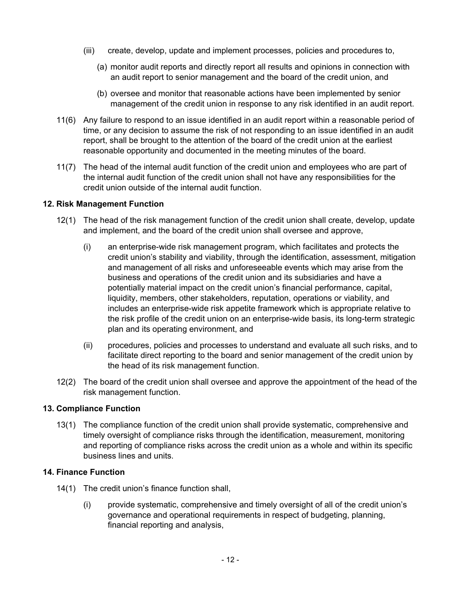- <span id="page-11-0"></span>(iii) create, develop, update and implement processes, policies and procedures to,
	- (a) monitor audit reports and directly report all results and opinions in connection with an audit report to senior management and the board of the credit union, and
	- (b) oversee and monitor that reasonable actions have been implemented by senior management of the credit union in response to any risk identified in an audit report.
- 11(6) Any failure to respond to an issue identified in an audit report within a reasonable period of time, or any decision to assume the risk of not responding to an issue identified in an audit report, shall be brought to the attention of the board of the credit union at the earliest reasonable opportunity and documented in the meeting minutes of the board.
- 11(7) The head of the internal audit function of the credit union and employees who are part of the internal audit function of the credit union shall not have any responsibilities for the credit union outside of the internal audit function.

## **12. Risk Management Function**

- 12(1) The head of the risk management function of the credit union shall create, develop, update and implement, and the board of the credit union shall oversee and approve,
	- (i) an enterprise-wide risk management program, which facilitates and protects the credit union's stability and viability, through the identification, assessment, mitigation and management of all risks and unforeseeable events which may arise from the business and operations of the credit union and its subsidiaries and have a potentially material impact on the credit union's financial performance, capital, liquidity, members, other stakeholders, reputation, operations or viability, and includes an enterprise-wide risk appetite framework which is appropriate relative to the risk profile of the credit union on an enterprise-wide basis, its long-term strategic plan and its operating environment, and
	- (ii) procedures, policies and processes to understand and evaluate all such risks, and to facilitate direct reporting to the board and senior management of the credit union by the head of its risk management function.
- 12(2) The board of the credit union shall oversee and approve the appointment of the head of the risk management function.

### **13. Compliance Function**

13(1) The compliance function of the credit union shall provide systematic, comprehensive and timely oversight of compliance risks through the identification, measurement, monitoring and reporting of compliance risks across the credit union as a whole and within its specific business lines and units.

## **14. Finance Function**

- 14(1) The credit union's finance function shall,
	- (i) provide systematic, comprehensive and timely oversight of all of the credit union's governance and operational requirements in respect of budgeting, planning, financial reporting and analysis,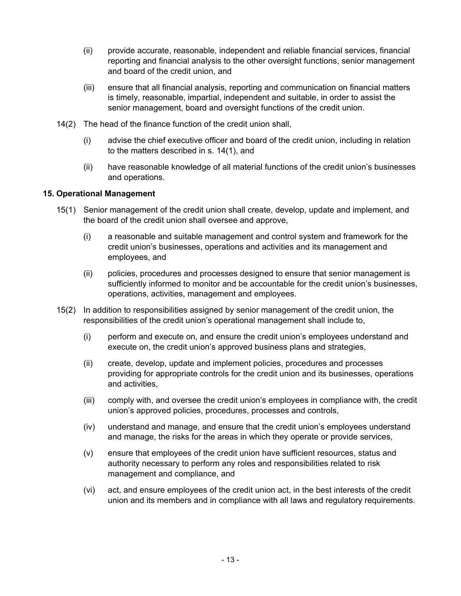- (ii) provide accurate, reasonable, independent and reliable financial services, financial reporting and financial analysis to the other oversight functions, senior management and board of the credit union, and
- (iii) ensure that all financial analysis, reporting and communication on financial matters is timely, reasonable, impartial, independent and suitable, in order to assist the senior management, board and oversight functions of the credit union.
- 14(2) The head of the finance function of the credit union shall,
	- (i) advise the chief executive officer and board of the credit union, including in relation to the matters described in s. [14\(1\)](#page-11-0), and
	- (ii) have reasonable knowledge of all material functions of the credit union's businesses and operations.

### **15. Operational Management**

- 15(1) Senior management of the credit union shall create, develop, update and implement, and the board of the credit union shall oversee and approve,
	- (i) a reasonable and suitable management and control system and framework for the credit union's businesses, operations and activities and its management and employees, and
	- (ii) policies, procedures and processes designed to ensure that senior management is sufficiently informed to monitor and be accountable for the credit union's businesses, operations, activities, management and employees.
- 15(2) In addition to responsibilities assigned by senior management of the credit union, the responsibilities of the credit union's operational management shall include to,
	- (i) perform and execute on, and ensure the credit union's employees understand and execute on, the credit union's approved business plans and strategies,
	- (ii) create, develop, update and implement policies, procedures and processes providing for appropriate controls for the credit union and its businesses, operations and activities,
	- (iii) comply with, and oversee the credit union's employees in compliance with, the credit union's approved policies, procedures, processes and controls,
	- (iv) understand and manage, and ensure that the credit union's employees understand and manage, the risks for the areas in which they operate or provide services,
	- (v) ensure that employees of the credit union have sufficient resources, status and authority necessary to perform any roles and responsibilities related to risk management and compliance, and
	- (vi) act, and ensure employees of the credit union act, in the best interests of the credit union and its members and in compliance with all laws and regulatory requirements.